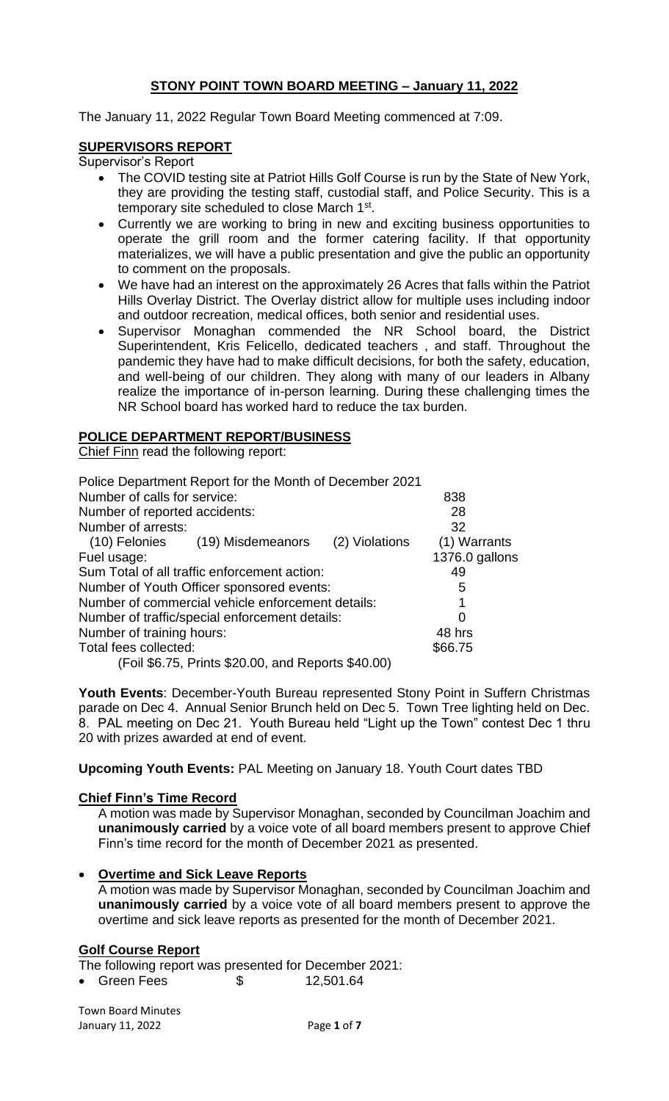# **STONY POINT TOWN BOARD MEETING – January 11, 2022**

The January 11, 2022 Regular Town Board Meeting commenced at 7:09.

## **SUPERVISORS REPORT**

Supervisor's Report

- The COVID testing site at Patriot Hills Golf Course is run by the State of New York, they are providing the testing staff, custodial staff, and Police Security. This is a temporary site scheduled to close March 1<sup>st</sup>.
- Currently we are working to bring in new and exciting business opportunities to operate the grill room and the former catering facility. If that opportunity materializes, we will have a public presentation and give the public an opportunity to comment on the proposals.
- We have had an interest on the approximately 26 Acres that falls within the Patriot Hills Overlay District. The Overlay district allow for multiple uses including indoor and outdoor recreation, medical offices, both senior and residential uses.
- Supervisor Monaghan commended the NR School board, the District Superintendent, Kris Felicello, dedicated teachers , and staff. Throughout the pandemic they have had to make difficult decisions, for both the safety, education, and well-being of our children. They along with many of our leaders in Albany realize the importance of in-person learning. During these challenging times the NR School board has worked hard to reduce the tax burden.

## **POLICE DEPARTMENT REPORT/BUSINESS**

Chief Finn read the following report:

| 838            |
|----------------|
| 28             |
| 32             |
| (1) Warrants   |
| 1376.0 gallons |
| 49             |
| 5              |
|                |
| 0              |
| 48 hrs         |
| \$66.75        |
|                |
|                |

**Youth Events**: December-Youth Bureau represented Stony Point in Suffern Christmas parade on Dec 4. Annual Senior Brunch held on Dec 5. Town Tree lighting held on Dec. 8. PAL meeting on Dec 21. Youth Bureau held "Light up the Town" contest Dec 1 thru 20 with prizes awarded at end of event.

**Upcoming Youth Events:** PAL Meeting on January 18. Youth Court dates TBD

## **Chief Finn's Time Record**

A motion was made by Supervisor Monaghan, seconded by Councilman Joachim and **unanimously carried** by a voice vote of all board members present to approve Chief Finn's time record for the month of December 2021 as presented.

# • **Overtime and Sick Leave Reports**

A motion was made by Supervisor Monaghan, seconded by Councilman Joachim and **unanimously carried** by a voice vote of all board members present to approve the overtime and sick leave reports as presented for the month of December 2021.

#### **Golf Course Report**

The following report was presented for December 2021:

• Green Fees \$ 12,501.64

Town Board Minutes January 11, 2022 Page **1** of **7**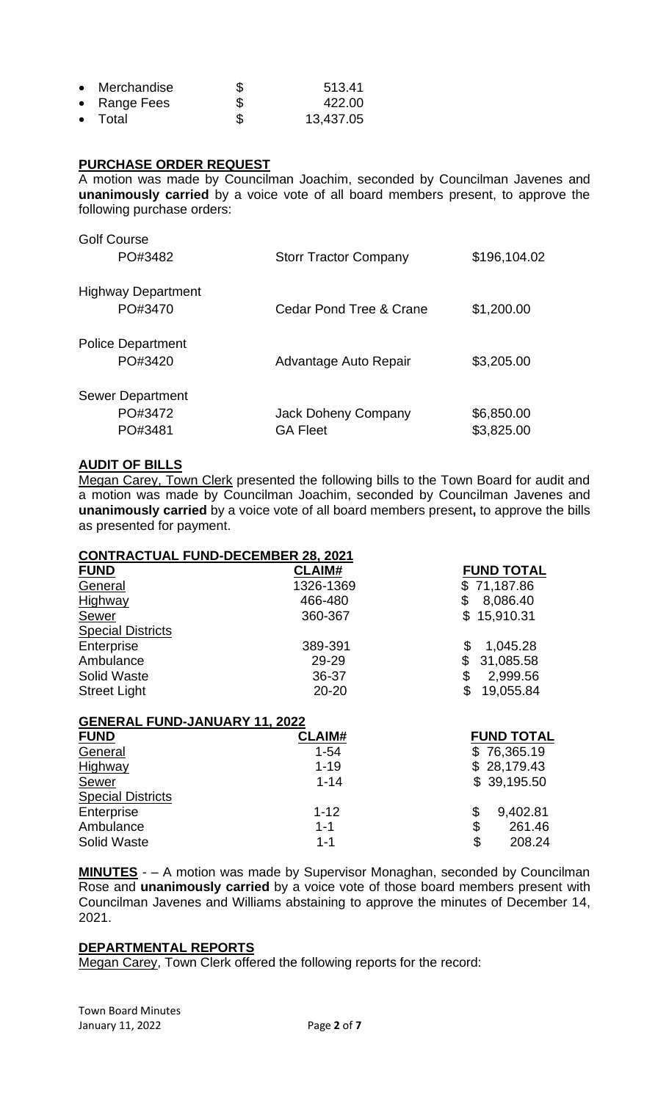| • Merchandise   | S   | 513.41    |
|-----------------|-----|-----------|
| • Range Fees    | \$  | 422.00    |
| $\bullet$ Total | \$. | 13,437.05 |

## **PURCHASE ORDER REQUEST**

A motion was made by Councilman Joachim, seconded by Councilman Javenes and **unanimously carried** by a voice vote of all board members present, to approve the following purchase orders:

| <b>Golf Course</b><br>PO#3482                 | <b>Storr Tractor Company</b>           | \$196,104.02             |
|-----------------------------------------------|----------------------------------------|--------------------------|
| <b>Highway Department</b><br>PO#3470          | Cedar Pond Tree & Crane                | \$1,200.00               |
| <b>Police Department</b><br>PO#3420           | Advantage Auto Repair                  | \$3,205.00               |
| <b>Sewer Department</b><br>PO#3472<br>PO#3481 | Jack Doheny Company<br><b>GA Fleet</b> | \$6,850.00<br>\$3,825.00 |

## **AUDIT OF BILLS**

Megan Carey, Town Clerk presented the following bills to the Town Board for audit and a motion was made by Councilman Joachim, seconded by Councilman Javenes and **unanimously carried** by a voice vote of all board members present**,** to approve the bills as presented for payment.

| <b>CONTRACTUAL FUND-DECEMBER 28, 2021</b> |               |                             |  |  |  |
|-------------------------------------------|---------------|-----------------------------|--|--|--|
| <b>FUND</b>                               | <b>CLAIM#</b> | <b>FUND TOTAL</b>           |  |  |  |
| General                                   | 1326-1369     | \$71,187.86                 |  |  |  |
| Highway                                   | 466-480       | \$<br>8,086.40              |  |  |  |
| Sewer                                     | 360-367       | \$15,910.31                 |  |  |  |
| <b>Special Districts</b>                  |               |                             |  |  |  |
| Enterprise                                | 389-391       | 1,045.28                    |  |  |  |
| Ambulance                                 | 29-29         | \$<br>31,085.58             |  |  |  |
| <b>Solid Waste</b>                        | 36-37         | \$<br>2,999.56              |  |  |  |
| <b>Street Light</b>                       | $20 - 20$     | $\mathfrak{L}$<br>19,055.84 |  |  |  |
| <b>GENERAL FUND-JANUARY 11, 2022</b>      |               |                             |  |  |  |
| <b>FUND</b>                               | <b>CLAIM#</b> | <b>FUND TOTAL</b>           |  |  |  |
| General                                   | $1 - 54$      | \$76,365.19                 |  |  |  |
| Highway                                   | $1 - 19$      | \$28,179.43                 |  |  |  |
| <b>Sewer</b>                              | $1 - 14$      | \$39,195.50                 |  |  |  |
| <b>Special Districts</b>                  |               |                             |  |  |  |
| Enterprise                                | $1 - 12$      | \$<br>9,402.81              |  |  |  |

**MINUTES** - – A motion was made by Supervisor Monaghan, seconded by Councilman Rose and **unanimously carried** by a voice vote of those board members present with Councilman Javenes and Williams abstaining to approve the minutes of December 14, 2021.

Ambulance 1-1 \$ 261.46<br>
Solid Waste 1-1 5 208.24 Solid Waste 1-1 \$ 208.24

#### **DEPARTMENTAL REPORTS**

Megan Carey, Town Clerk offered the following reports for the record:

Town Board Minutes January 11, 2022 Page **2** of **7**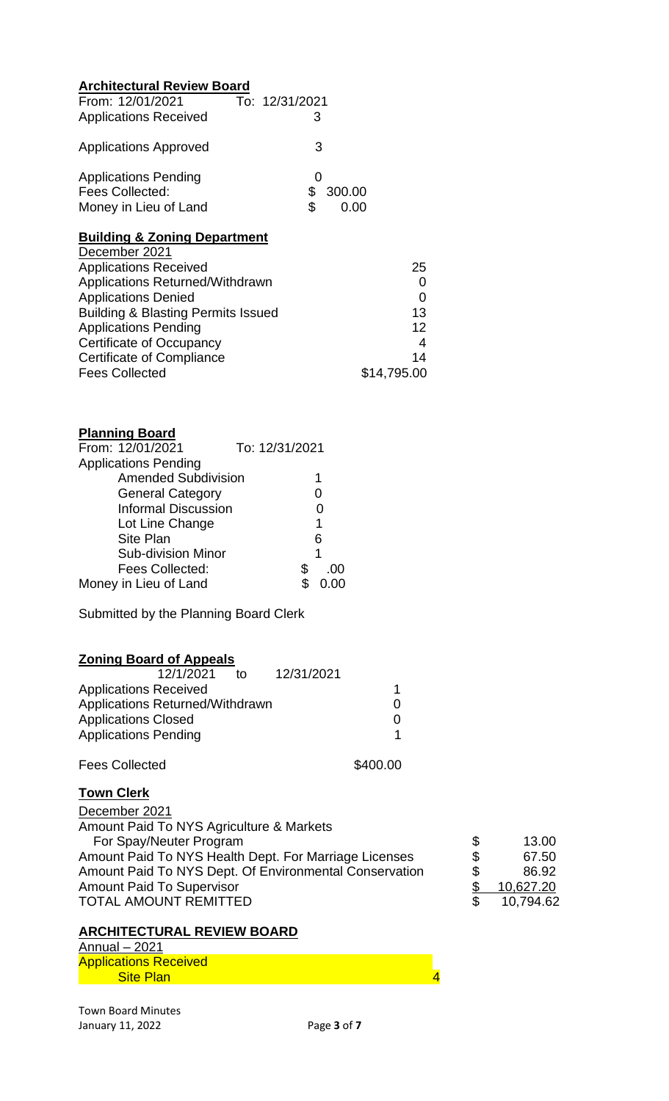| <b>Architectural Review Board</b> |                |  |  |  |
|-----------------------------------|----------------|--|--|--|
| From: 12/01/2021                  | To: 12/31/2021 |  |  |  |
| <b>Applications Received</b>      | 3              |  |  |  |
| <b>Applications Approved</b>      | 3              |  |  |  |
| <b>Applications Pending</b>       | 0              |  |  |  |
| Fees Collected:                   | S<br>300.00    |  |  |  |
| Money in Lieu of Land             |                |  |  |  |

# **Building & Zoning Department**

| 25          |
|-------------|
|             |
| 0           |
| 13          |
| 12          |
| 4           |
| 14          |
| \$14,795.00 |
|             |

# **Planning Board**

| From: 12/01/2021            | To: 12/31/2021 |           |
|-----------------------------|----------------|-----------|
| <b>Applications Pending</b> |                |           |
| <b>Amended Subdivision</b>  |                | 1         |
| <b>General Category</b>     |                | Ω         |
| <b>Informal Discussion</b>  |                |           |
| Lot Line Change             |                | 1         |
| <b>Site Plan</b>            |                | 6         |
| <b>Sub-division Minor</b>   |                | 1         |
| Fees Collected:             |                | \$<br>.00 |
| Money in Lieu of Land       |                |           |

Submitted by the Planning Board Clerk

# **Zoning Board of Appeals**

| 12/1/2021                       | t∩ | 12/31/2021 |  |
|---------------------------------|----|------------|--|
| <b>Applications Received</b>    |    |            |  |
| Applications Returned/Withdrawn |    |            |  |
| <b>Applications Closed</b>      |    |            |  |
| <b>Applications Pending</b>     |    |            |  |

| <b>Fees Collected</b> | \$400.00 |
|-----------------------|----------|
|-----------------------|----------|

## **Town Clerk**

| December 2021                                          |     |           |
|--------------------------------------------------------|-----|-----------|
| Amount Paid To NYS Agriculture & Markets               |     |           |
| For Spay/Neuter Program                                | \$  | 13.00     |
| Amount Paid To NYS Health Dept. For Marriage Licenses  | \$  | 67.50     |
| Amount Paid To NYS Dept. Of Environmental Conservation | \$  | 86.92     |
| <b>Amount Paid To Supervisor</b>                       |     | 10,627.20 |
| TOTAL AMOUNT REMITTED                                  | \$. | 10,794.62 |
|                                                        |     |           |

# **ARCHITECTURAL REVIEW BOARD**

Annual – 2021 Applications Received **Site Plan 4** and 5 and 5 and 5 and 5 and 4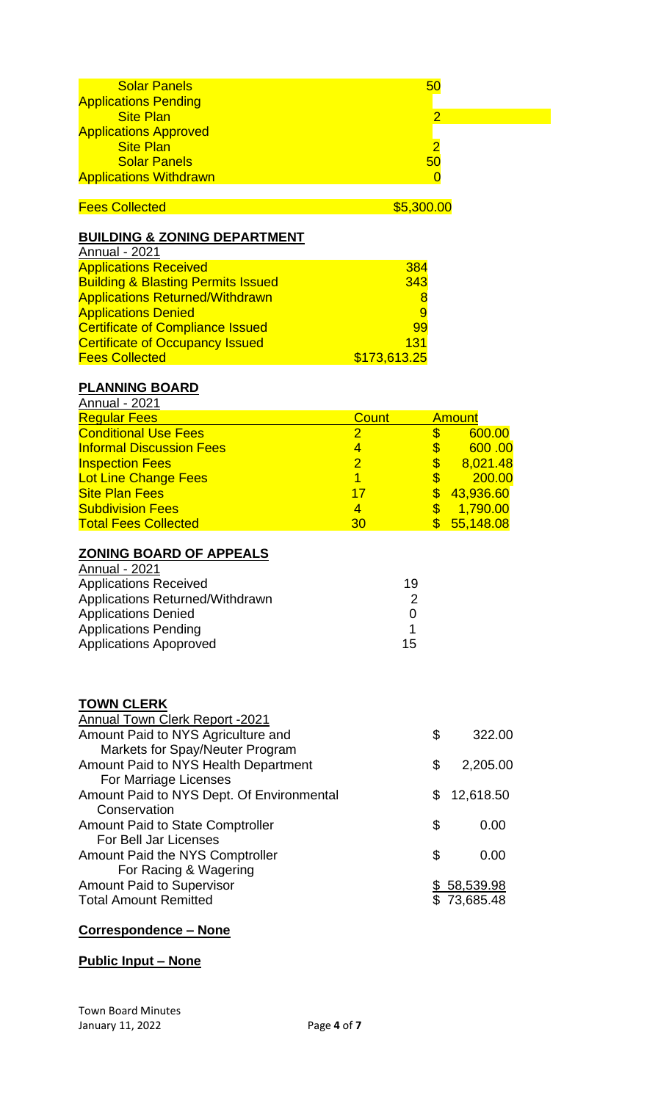|                                                                                                 | 50<br>$\overline{2}$                                                              |                                                                                               |
|-------------------------------------------------------------------------------------------------|-----------------------------------------------------------------------------------|-----------------------------------------------------------------------------------------------|
|                                                                                                 | 50<br>$\overline{0}$                                                              |                                                                                               |
|                                                                                                 |                                                                                   |                                                                                               |
|                                                                                                 | 384<br>343<br>8<br>9<br>99<br>131                                                 |                                                                                               |
|                                                                                                 |                                                                                   |                                                                                               |
| <b>Count</b><br>$\frac{2}{4}$<br>$\overline{2}$<br>$\overline{1}$<br>17<br>$\overline{4}$<br>30 | \$<br>\$<br>\$\$\$\$<br>$\overline{\mathbb{S}}$<br>19<br>$\overline{2}$<br>0<br>1 | <b>Amount</b><br>600.00<br>600.00<br>8,021.48<br>200.00<br>43,936.60<br>1,790.00<br>55,148.08 |
|                                                                                                 | \$<br>\$<br>\$<br>\$<br>\$                                                        | 322.00<br>2,205.00<br>12,618.50<br>0.00<br>0.00<br><u>\$58,539.98</u><br>\$73,685.48          |
|                                                                                                 |                                                                                   | $\overline{2}$<br>\$5,300.00<br>\$173,613.25<br>15                                            |

# **Correspondence – None**

# **Public Input – None**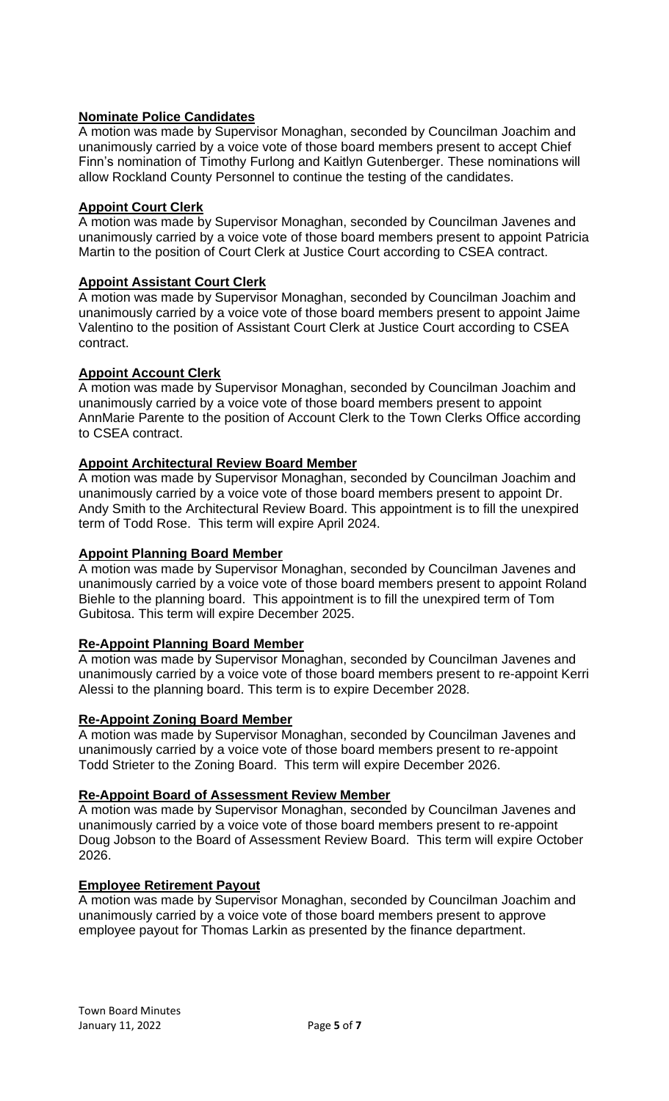# **Nominate Police Candidates**

A motion was made by Supervisor Monaghan, seconded by Councilman Joachim and unanimously carried by a voice vote of those board members present to accept Chief Finn's nomination of Timothy Furlong and Kaitlyn Gutenberger. These nominations will allow Rockland County Personnel to continue the testing of the candidates.

# **Appoint Court Clerk**

A motion was made by Supervisor Monaghan, seconded by Councilman Javenes and unanimously carried by a voice vote of those board members present to appoint Patricia Martin to the position of Court Clerk at Justice Court according to CSEA contract.

## **Appoint Assistant Court Clerk**

A motion was made by Supervisor Monaghan, seconded by Councilman Joachim and unanimously carried by a voice vote of those board members present to appoint Jaime Valentino to the position of Assistant Court Clerk at Justice Court according to CSEA contract.

## **Appoint Account Clerk**

A motion was made by Supervisor Monaghan, seconded by Councilman Joachim and unanimously carried by a voice vote of those board members present to appoint AnnMarie Parente to the position of Account Clerk to the Town Clerks Office according to CSEA contract.

# **Appoint Architectural Review Board Member**

A motion was made by Supervisor Monaghan, seconded by Councilman Joachim and unanimously carried by a voice vote of those board members present to appoint Dr. Andy Smith to the Architectural Review Board. This appointment is to fill the unexpired term of Todd Rose. This term will expire April 2024.

## **Appoint Planning Board Member**

A motion was made by Supervisor Monaghan, seconded by Councilman Javenes and unanimously carried by a voice vote of those board members present to appoint Roland Biehle to the planning board. This appointment is to fill the unexpired term of Tom Gubitosa. This term will expire December 2025.

## **Re-Appoint Planning Board Member**

A motion was made by Supervisor Monaghan, seconded by Councilman Javenes and unanimously carried by a voice vote of those board members present to re-appoint Kerri Alessi to the planning board. This term is to expire December 2028.

## **Re-Appoint Zoning Board Member**

A motion was made by Supervisor Monaghan, seconded by Councilman Javenes and unanimously carried by a voice vote of those board members present to re-appoint Todd Strieter to the Zoning Board. This term will expire December 2026.

#### **Re-Appoint Board of Assessment Review Member**

A motion was made by Supervisor Monaghan, seconded by Councilman Javenes and unanimously carried by a voice vote of those board members present to re-appoint Doug Jobson to the Board of Assessment Review Board. This term will expire October 2026.

#### **Employee Retirement Payout**

A motion was made by Supervisor Monaghan, seconded by Councilman Joachim and unanimously carried by a voice vote of those board members present to approve employee payout for Thomas Larkin as presented by the finance department.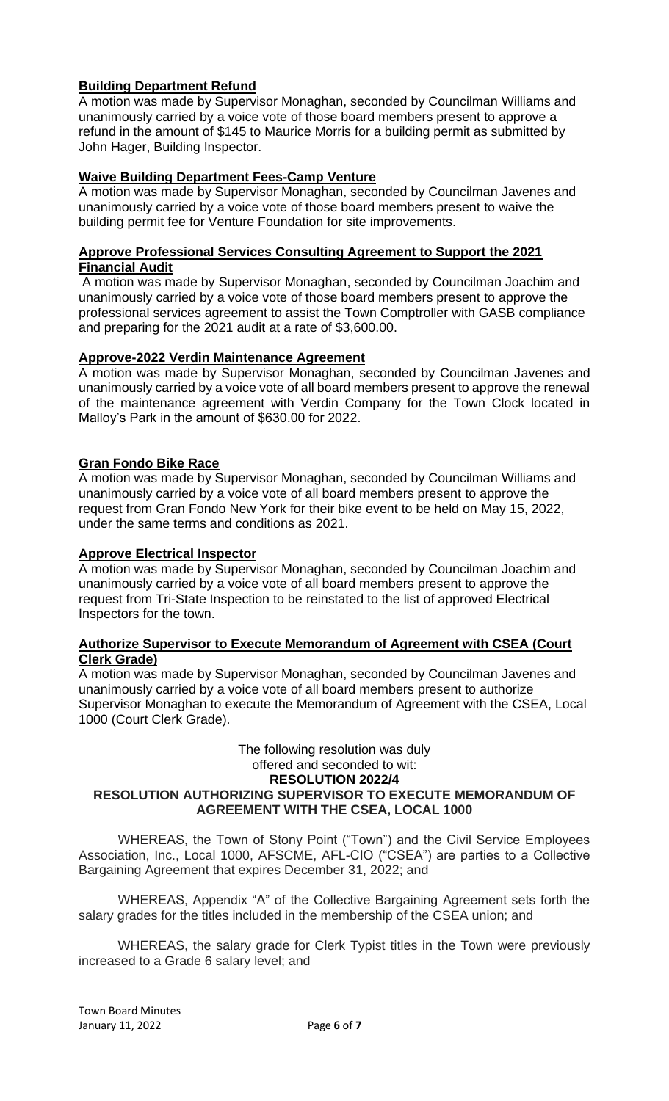# **Building Department Refund**

A motion was made by Supervisor Monaghan, seconded by Councilman Williams and unanimously carried by a voice vote of those board members present to approve a refund in the amount of \$145 to Maurice Morris for a building permit as submitted by John Hager, Building Inspector.

## **Waive Building Department Fees-Camp Venture**

A motion was made by Supervisor Monaghan, seconded by Councilman Javenes and unanimously carried by a voice vote of those board members present to waive the building permit fee for Venture Foundation for site improvements.

## **Approve Professional Services Consulting Agreement to Support the 2021 Financial Audit**

A motion was made by Supervisor Monaghan, seconded by Councilman Joachim and unanimously carried by a voice vote of those board members present to approve the professional services agreement to assist the Town Comptroller with GASB compliance and preparing for the 2021 audit at a rate of \$3,600.00.

## **Approve-2022 Verdin Maintenance Agreement**

A motion was made by Supervisor Monaghan, seconded by Councilman Javenes and unanimously carried by a voice vote of all board members present to approve the renewal of the maintenance agreement with Verdin Company for the Town Clock located in Malloy's Park in the amount of \$630.00 for 2022.

# **Gran Fondo Bike Race**

A motion was made by Supervisor Monaghan, seconded by Councilman Williams and unanimously carried by a voice vote of all board members present to approve the request from Gran Fondo New York for their bike event to be held on May 15, 2022, under the same terms and conditions as 2021.

### **Approve Electrical Inspector**

A motion was made by Supervisor Monaghan, seconded by Councilman Joachim and unanimously carried by a voice vote of all board members present to approve the request from Tri-State Inspection to be reinstated to the list of approved Electrical Inspectors for the town.

### **Authorize Supervisor to Execute Memorandum of Agreement with CSEA (Court Clerk Grade)**

A motion was made by Supervisor Monaghan, seconded by Councilman Javenes and unanimously carried by a voice vote of all board members present to authorize Supervisor Monaghan to execute the Memorandum of Agreement with the CSEA, Local 1000 (Court Clerk Grade).

### The following resolution was duly offered and seconded to wit: **RESOLUTION 2022/4 RESOLUTION AUTHORIZING SUPERVISOR TO EXECUTE MEMORANDUM OF AGREEMENT WITH THE CSEA, LOCAL 1000**

WHEREAS, the Town of Stony Point ("Town") and the Civil Service Employees Association, Inc., Local 1000, AFSCME, AFL-CIO ("CSEA") are parties to a Collective Bargaining Agreement that expires December 31, 2022; and

WHEREAS, Appendix "A" of the Collective Bargaining Agreement sets forth the salary grades for the titles included in the membership of the CSEA union; and

WHEREAS, the salary grade for Clerk Typist titles in the Town were previously increased to a Grade 6 salary level; and